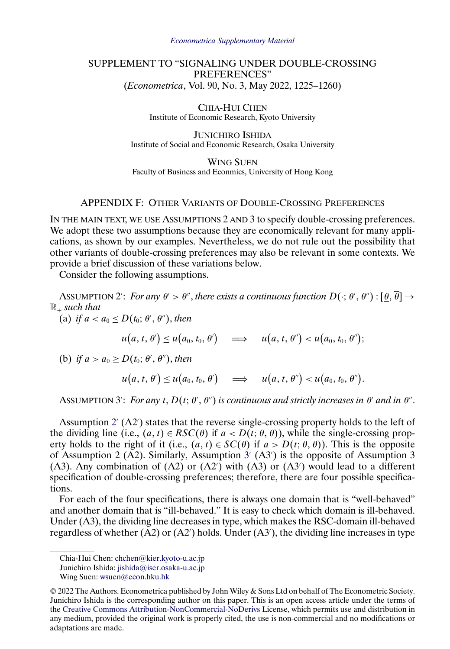## *[Econometrica Supplementary Material](https://www.econometricsociety.org/suppmatlist.asp)*

## SUPPLEMENT TO "SIGNALING UNDER DOUBLE-CROSSING PREFERENCES" (*Econometrica*, Vol. 90, No. 3, May 2022, 1225–1260)

CHIA-HUI CHEN Institute of Economic Research, Kyoto University

JUNICHIRO ISHIDA Institute of Social and Economic Research, Osaka University

WING SUEN Faculty of Business and Econmics, University of Hong Kong

## APPENDIX F: OTHER VARIANTS OF DOUBLE-CROSSING PREFERENCES

IN THE MAIN TEXT, WE USE ASSUMPTIONS 2 AND 3 to specify double-crossing preferences. We adopt these two assumptions because they are economically relevant for many applications, as shown by our examples. Nevertheless, we do not rule out the possibility that other variants of double-crossing preferences may also be relevant in some contexts. We provide a brief discussion of these variations below.

Consider the following assumptions.

ASSUMPTION 2: *For any*  $\theta' > \theta''$ , there exists a continuous function  $D(\cdot; \theta', \theta'') : [\underline{\theta}, \theta] \to$  $\mathbb{R}_+$  *such that* 

(a) if  $a < a_0 \le D(t_0; \theta', \theta'')$ , then

$$
u(a, t, \theta') \leq u(a_0, t_0, \theta') \quad \Longrightarrow \quad u(a, t, \theta'') < u(a_0, t_0, \theta');
$$

(b) *if*  $a > a_0 \ge D(t_0; \theta', \theta'')$ , *then* 

$$
u(a, t, \theta') \leq u(a_0, t_0, \theta') \quad \implies \quad u(a, t, \theta'') < u(a_0, t_0, \theta'').
$$

 $\Delta$ SSUMPTION 3': For any t,  $D(t; \theta', \theta'')$  is continuous and strictly increases in  $\theta'$  and in  $\theta''$ .

Assumption  $2'$  (A2') states that the reverse single-crossing property holds to the left of the dividing line (i.e.,  $(a, t) \in RSC(\theta)$  if  $a < D(t; \theta, \theta)$ ), while the single-crossing property holds to the right of it (i.e.,  $(a, t) \in SC(\theta)$  if  $a > D(t; \theta, \theta)$ ). This is the opposite of Assumption 2 (A2). Similarly, Assumption  $3'(A3')$  is the opposite of Assumption 3 (A3). Any combination of  $(A2)$  or  $(A2')$  with  $(A3)$  or  $(A3')$  would lead to a different specification of double-crossing preferences; therefore, there are four possible specifications.

For each of the four specifications, there is always one domain that is "well-behaved" and another domain that is "ill-behaved." It is easy to check which domain is ill-behaved. Under (A3), the dividing line decreases in type, which makes the RSC-domain ill-behaved regardless of whether  $(A2)$  or  $(A2')$  holds. Under  $(A3')$ , the dividing line increases in type

Chia-Hui Chen: [chchen@kier.kyoto-u.ac.jp](mailto:chchen@kier.kyoto-u.ac.jp)

Junichiro Ishida: [jishida@iser.osaka-u.ac.jp](mailto:jishida@iser.osaka-u.ac.jp)

Wing Suen: [wsuen@econ.hku.hk](mailto:wsuen@econ.hku.hk)

<sup>© 2022</sup> The Authors. Econometrica published by John Wiley & Sons Ltd on behalf of The Econometric Society. Junichiro Ishida is the corresponding author on this paper. This is an open access article under the terms of the [Creative Commons Attribution-NonCommercial-NoDerivs](https://creativecommons.org/licenses/by-nc-nd/4.0/) License, which permits use and distribution in any medium, provided the original work is properly cited, the use is non-commercial and no modifications or adaptations are made.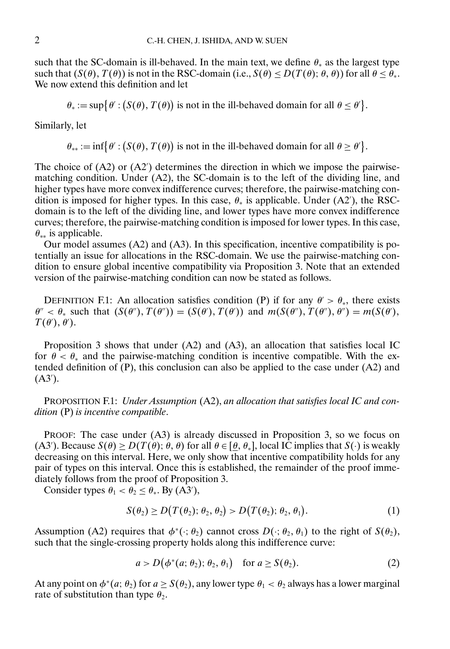<span id="page-1-0"></span>such that the SC-domain is ill-behaved. In the main text, we define  $\theta_*$  as the largest type such that  $(S(\theta), T(\theta))$  is not in the RSC-domain (i.e.,  $S(\theta) \le D(T(\theta); \theta, \theta)$ ) for all  $\theta \le \theta_*$ . We now extend this definition and let

 $\theta_* := \sup \{ \theta' : (S(\theta), T(\theta)) \text{ is not in the ill-behaved domain for all } \theta \leq \theta' \}.$ 

Similarly, let

 $\theta_{**} := \inf \{ \theta' : (S(\theta), T(\theta)) \text{ is not in the ill-behaved domain for all } \theta \ge \theta' \}.$ 

The choice of  $(A2)$  or  $(A2')$  determines the direction in which we impose the pairwisematching condition. Under (A2), the SC-domain is to the left of the dividing line, and higher types have more convex indifference curves; therefore, the pairwise-matching condition is imposed for higher types. In this case,  $\theta_*$  is applicable. Under  $(A2')$ , the RSCdomain is to the left of the dividing line, and lower types have more convex indifference curves; therefore, the pairwise-matching condition is imposed for lower types. In this case,  $\theta_{**}$  is applicable.

Our model assumes (A2) and (A3). In this specification, incentive compatibility is potentially an issue for allocations in the RSC-domain. We use the pairwise-matching condition to ensure global incentive compatibility via Proposition 3. Note that an extended version of the pairwise-matching condition can now be stated as follows.

DEFINITION F.1: An allocation satisfies condition (P) if for any  $\theta' > \theta_*$ , there exists  $\theta'' < \theta_*$  such that  $(S(\theta''), T(\theta'')) = (S(\theta'), T(\theta'))$  and  $m(S(\theta''), T(\theta''), \theta'') = m(S(\theta'),$  $T(\theta'), \theta'.$ 

Proposition 3 shows that under (A2) and (A3), an allocation that satisfies local IC for  $\theta < \theta_*$  and the pairwise-matching condition is incentive compatible. With the extended definition of  $(P)$ , this conclusion can also be applied to the case under  $(A2)$  and  $(A3^{\prime}).$ 

PROPOSITION F.1: *Under Assumption* (A2), *an allocation that satisfies local IC and condition* (P) *is incentive compatible*.

PROOF: The case under (A3) is already discussed in Proposition 3, so we focus on (A3'). Because  $S(\theta) \ge D(T(\theta); \theta, \theta)$  for all  $\theta \in [\theta, \theta_*]$ , local IC implies that  $S(\cdot)$  is weakly decreasing on this interval. Here, we only show that incentive compatibility holds for any pair of types on this interval. Once this is established, the remainder of the proof immediately follows from the proof of Proposition 3.

Consider types  $\theta_1 < \theta_2 \le \theta_*$ . By (A3'),

$$
S(\theta_2) \ge D\big(T(\theta_2); \theta_2, \theta_2\big) > D\big(T(\theta_2); \theta_2, \theta_1\big). \tag{1}
$$

Assumption (A2) requires that  $\phi^*(\cdot; \theta_2)$  cannot cross  $D(\cdot; \theta_2, \theta_1)$  to the right of  $S(\theta_2)$ , such that the single-crossing property holds along this indifference curve:

$$
a > D(\phi^*(a; \theta_2); \theta_2, \theta_1) \quad \text{for } a \ge S(\theta_2). \tag{2}
$$

At any point on  $\phi^*(a; \theta_2)$  for  $a \ge S(\theta_2)$ , any lower type  $\theta_1 < \theta_2$  always has a lower marginal rate of substitution than type  $\theta_2$ .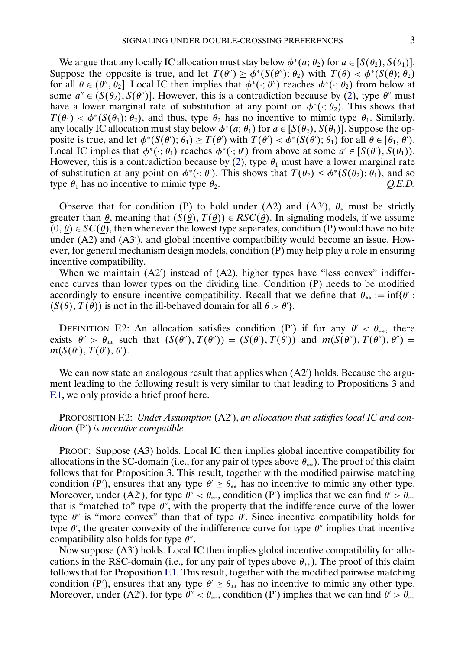We argue that any locally IC allocation must stay below  $\phi^*(a; \theta_2)$  for  $a \in [S(\theta_2), S(\theta_1)].$ Suppose the opposite is true, and let  $T(\theta'') \ge \phi^*(S(\theta''); \theta_2)$  with  $T(\theta) < \phi^*(S(\theta); \theta_2)$ for all  $\theta \in (\theta'', \theta_2]$ . Local IC then implies that  $\phi^*(\cdot; \theta'')$  reaches  $\phi^*(\cdot; \theta_2)$  from below at some  $a'' \in (S(\theta_2), S(\theta'')]$ . However, this is a contradiction because by [\(2\)](#page-1-0), type  $\theta''$  must have a lower marginal rate of substitution at any point on  $\phi^*(\cdot; \theta_2)$ . This shows that  $T(\theta_1) < \phi^*(S(\theta_1); \theta_2)$ , and thus, type  $\theta_2$  has no incentive to mimic type  $\theta_1$ . Similarly, any locally IC allocation must stay below  $\phi^*(a; \theta_1)$  for  $a \in [S(\theta_2), S(\theta_1)]$ . Suppose the opposite is true, and let  $\phi^*(S(\theta'); \theta_1) \ge T(\theta')$  with  $T(\theta') < \phi^*(S(\theta'); \theta_1)$  for all  $\theta \in [\theta_1, \theta').$ Local IC implies that  $\phi^*(\cdot; \theta_1)$  reaches  $\phi^*(\cdot; \theta')$  from above at some  $a' \in [S(\theta'), S(\theta_1)).$ However, this is a contradiction because by [\(2\)](#page-1-0), type  $\theta_1$  must have a lower marginal rate of substitution at any point on  $\phi^*(\cdot; \theta')$ . This shows that  $T(\theta_2) \leq \phi^*(S(\theta_2); \theta_1)$ , and so type  $\theta_1$  has no incentive to mimic type  $\theta_2$ .  $Q.E.D.$ 

Observe that for condition (P) to hold under (A2) and (A3'),  $\theta_*$  must be strictly greater than  $\theta$ , meaning that  $(S(\hat{\theta}), T(\theta)) \in RSC(\hat{\theta})$ . In signaling models, if we assume  $(0, \theta) \in SC(\theta)$ , then whenever the lowest type separates, condition (P) would have no bite under  $(A2)$  and  $(A3')$ , and global incentive compatibility would become an issue. However, for general mechanism design models, condition (P) may help play a role in ensuring incentive compatibility.

When we maintain  $(A2)$  instead of  $(A2)$ , higher types have "less convex" indifference curves than lower types on the dividing line. Condition (P) needs to be modified accordingly to ensure incentive compatibility. Recall that we define that  $\theta_{**} := \inf \{ \theta' :$  $(S(\theta), T(\theta))$  is not in the ill-behaved domain for all  $\theta > \theta'$ .

DEFINITION F.2: An allocation satisfies condition (P') if for any  $\theta' < \theta_{**}$ , there exists  $\theta'' > \theta_{**}$  such that  $(S(\theta''), T(\theta'')) = (S(\theta'), T(\theta'))$  and  $m(S(\theta''), T(\theta''), \theta'') =$  $m(S(\theta'), T(\theta'), \theta').$ 

We can now state an analogous result that applies when  $(A2')$  holds. Because the argument leading to the following result is very similar to that leading to Propositions 3 and [F.1,](#page-1-0) we only provide a brief proof here.

## PROPOSITION F.2: *Under Assumption* (A2'), *an allocation that satisfies local IC and con*dition (P') is incentive compatible.

PROOF: Suppose (A3) holds. Local IC then implies global incentive compatibility for allocations in the SC-domain (i.e., for any pair of types above  $\theta_{**}$ ). The proof of this claim follows that for Proposition 3. This result, together with the modified pairwise matching condition (P'), ensures that any type  $\theta' \geq \theta_{**}$  has no incentive to mimic any other type. Moreover, under (A2'), for type  $\theta'' < \theta_{**}$ , condition (P') implies that we can find  $\theta' > \theta_{**}$ that is "matched to" type  $\theta$ ", with the property that the indifference curve of the lower type  $\theta''$  is "more convex" than that of type  $\theta'$ . Since incentive compatibility holds for type  $\theta'$ , the greater convexity of the indifference curve for type  $\theta''$  implies that incentive compatibility also holds for type  $\theta''$ .

Now suppose  $(A3')$  holds. Local IC then implies global incentive compatibility for allocations in the RSC-domain (i.e., for any pair of types above  $\theta_{**}$ ). The proof of this claim follows that for Proposition [F.1](#page-1-0). This result, together with the modified pairwise matching condition (P'), ensures that any type  $\theta' \geq \theta_{**}$  has no incentive to mimic any other type. Moreover, under (A2'), for type  $\theta'' < \theta_{**}$ , condition (P') implies that we can find  $\theta' > \theta_{**}$